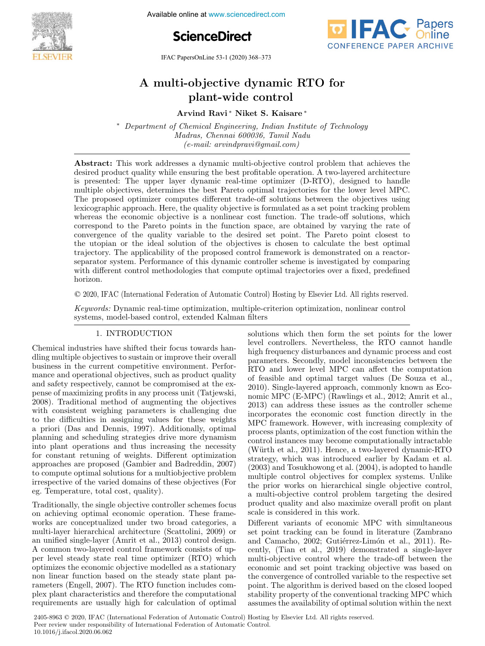

Available online at www.sciencedirect.com





IFAC PapersOnLine 53-1 (2020) 368–373

# A multi-objective dynamic RTO for plant-wide control

Arvind Ravi ∗ Niket S. Kaisare ∗

<sup>∗</sup> Department of Chemical Engineering, Indian Institute of Technology Madras, Chennai 600036, Tamil Nadu (e-mail: arvindpravi@gmail.com)

Abstract: This work addresses a dynamic multi-objective control problem that achieves the desired product quality while ensuring the best profitable operation. A two-layered architecture is presented: The upper layer dynamic real-time optimizer (D-RTO), designed to handle multiple objectives, determines the best Pareto optimal trajectories for the lower level MPC. The proposed optimizer computes different trade-off solutions between the objectives using lexicographic approach. Here, the quality objective is formulated as a set point tracking problem whereas the economic objective is a nonlinear cost function. The trade-off solutions, which correspond to the Pareto points in the function space, are obtained by varying the rate of convergence of the quality variable to the desired set point. The Pareto point closest to the utopian or the ideal solution of the objectives is chosen to calculate the best optimal trajectory. The applicability of the proposed control framework is demonstrated on a reactorseparator system. Performance of this dynamic controller scheme is investigated by comparing with different control methodologies that compute optimal trajectories over a fixed, predefined horizon.

© 2020, IFAC (International Federation of Automatic Control) Hosting by Elsevier Ltd. All rights reserved.

Keywords: Dynamic real-time optimization, multiple-criterion optimization, nonlinear control systems, model-based control, extended Kalman filters

# 1. INTRODUCTION

Chemical industries have shifted their focus towards handling multiple objectives to sustain or improve their overall business in the current competitive environment. Performance and operational objectives, such as product quality and safety respectively, cannot be compromised at the expense of maximizing profits in any process unit (Tatjewski, 2008). Traditional method of augmenting the objectives with consistent weighing parameters is challenging due to the difficulties in assigning values for these weights a priori (Das and Dennis, 1997). Additionally, optimal planning and scheduling strategies drive more dynamism into plant operations and thus increasing the necessity for constant retuning of weights. Different optimization approaches are proposed (Gambier and Badreddin, 2007) to compute optimal solutions for a multiobjective problem irrespective of the varied domains of these objectives (For eg. Temperature, total cost, quality).

Traditionally, the single objective controller schemes focus on achieving optimal economic operation. These frameworks are conceptualized under two broad categories, a multi-layer hierarchical architecture (Scattolini, 2009) or an unified single-layer (Amrit et al., 2013) control design. A common two-layered control framework consists of upper level steady state real time optimizer (RTO) which optimizes the economic objective modelled as a stationary non linear function based on the steady state plant parameters (Engell, 2007). The RTO function includes complex plant characteristics and therefore the computational requirements are usually high for calculation of optimal solutions which then form the set points for the lower level controllers. Nevertheless, the RTO cannot handle high frequency disturbances and dynamic process and cost parameters. Secondly, model inconsistencies between the RTO and lower level MPC can affect the computation of feasible and optimal target values (De Souza et al., 2010). Single-layered approach, commonly known as Economic MPC (E-MPC) (Rawlings et al., 2012; Amrit et al., 2013) can address these issues as the controller scheme incorporates the economic cost function directly in the MPC framework. However, with increasing complexity of process plants, optimization of the cost function within the control instances may become computationally intractable (Würth et al., 2011). Hence, a two-layered dynamic-RTO strategy, which was introduced earlier by Kadam et al. (2003) and Tosukhowong et al. (2004), is adopted to handle multiple control objectives for complex systems. Unlike the prior works on hierarchical single objective control, a multi-objective control problem targeting the desired product quality and also maximize overall profit on plant scale is considered in this work.

Different variants of economic MPC with simultaneous set point tracking can be found in literature (Zambrano and Camacho, 2002; Gutiérrez-Limón et al., 2011). Recently, (Tian et al., 2019) demonstrated a single-layer multi-objective control where the trade-off between the economic and set point tracking objective was based on the convergence of controlled variable to the respective set point. The algorithm is derived based on the closed looped stability property of the conventional tracking MPC which assumes the availability of optimal solution within the next

2405-8963 © 2020, IFAC (International Federation of Automatic Control) Hosting by Elsevier Ltd. All rights reserved. Peer review under responsibility of International Federation of Automatic Control. 10.1016/j.ifacol.2020.06.062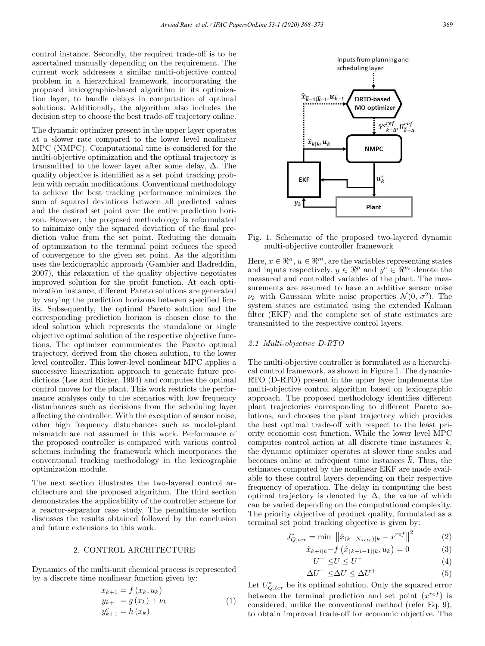control instance. Secondly, the required trade-off is to be ascertained manually depending on the requirement. The current work addresses a similar multi-objective control problem in a hierarchical framework, incorporating the proposed lexicographic-based algorithm in its optimization layer, to handle delays in computation of optimal solutions. Additionally, the algorithm also includes the decision step to choose the best trade-off trajectory online.

The dynamic optimizer present in the upper layer operates at a slower rate compared to the lower level nonlinear MPC (NMPC). Computational time is considered for the multi-objective optimization and the optimal trajectory is transmitted to the lower layer after some delay, ∆. The quality objective is identified as a set point tracking problem with certain modifications. Conventional methodology to achieve the best tracking performance minimizes the sum of squared deviations between all predicted values and the desired set point over the entire prediction horizon. However, the proposed methodology is reformulated to minimize only the squared deviation of the final prediction value from the set point. Reducing the domain of optimization to the terminal point reduces the speed of convergence to the given set point. As the algorithm uses the lexicographic approach (Gambier and Badreddin, 2007), this relaxation of the quality objective negotiates improved solution for the profit function. At each optimization instance, different Pareto solutions are generated by varying the prediction horizons between specified limits. Subsequently, the optimal Pareto solution and the corresponding prediction horizon is chosen close to the ideal solution which represents the standalone or single objective optimal solution of the respective objective functions. The optimizer communicates the Pareto optimal trajectory, derived from the chosen solution, to the lower level controller. This lower-level nonlinear MPC applies a successive linearization approach to generate future predictions (Lee and Ricker, 1994) and computes the optimal control moves for the plant. This work restricts the performance analyses only to the scenarios with low frequency disturbances such as decisions from the scheduling layer affecting the controller. With the exception of sensor noise, other high frequency disturbances such as model-plant mismatch are not assumed in this work. Performance of the proposed controller is compared with various control schemes including the framework which incorporates the conventional tracking methodology in the lexicographic optimization module.

The next section illustrates the two-layered control architecture and the proposed algorithm. The third section demonstrates the applicability of the controller scheme for a reactor-separator case study. The penultimate section discusses the results obtained followed by the conclusion and future extensions to this work.

## 2. CONTROL ARCHITECTURE

Dynamics of the multi-unit chemical process is represented by a discrete time nonlinear function given by:

$$
x_{k+1} = f(x_k, u_k)
$$
  
\n
$$
y_{k+1} = g(x_k) + \nu_k
$$
  
\n
$$
y_{k+1}^c = h(x_k)
$$
\n(1)



Fig. 1. Schematic of the proposed two-layered dynamic multi-objective controller framework

Here,  $x \in \mathbb{R}^n$ ,  $u \in \mathbb{R}^m$ , are the variables representing states and inputs respectively.  $y \in \mathbb{R}^p$  and  $y^c \in \mathbb{R}^{p_c}$  denote the measured and controlled variables of the plant. The measurements are assumed to have an additive sensor noise  $\nu_k$  with Gaussian white noise properties  $\mathcal{N}(0, \sigma^2)$ . The system states are estimated using the extended Kalman filter (EKF) and the complete set of state estimates are transmitted to the respective control layers.

### 2.1 Multi-objective D-RTO

The multi-objective controller is formulated as a hierarchical control framework, as shown in Figure 1. The dynamic-RTO (D-RTO) present in the upper layer implements the multi-objective control algorithm based on lexicographic approach. The proposed methodology identifies different plant trajectories corresponding to different Pareto solutions, and chooses the plant trajectory which provides the best optimal trade-off with respect to the least priority economic cost function. While the lower level MPC computes control action at all discrete time instances  $k$ , the dynamic optimizer operates at slower time scales and becomes online at infrequent time instances  $\bar{k}$ . Thus, the estimates computed by the nonlinear EKF are made available to these control layers depending on their respective frequency of operation. The delay in computing the best optimal trajectory is denoted by  $\Delta$ , the value of which can be varied depending on the computational complexity. The priority objective of product quality, formulated as a terminal set point tracking objective is given by:

$$
J_{Q,ter}^{*} = \min \; \left\| \hat{x}_{(k+N_{drto})|k} - x^{ref} \right\|^{2} \tag{2}
$$

$$
\hat{x}_{k+i|k} - f(\hat{x}_{(k+i-1)|k}, u_k) = 0 \tag{3}
$$

$$
U^- \le U \le U^+\tag{4}
$$

$$
\Delta U^- \le \Delta U \le \Delta U^+ \tag{5}
$$

Let  $U_{Q,ter}^*$  be its optimal solution. Only the squared error between the terminal prediction and set point  $(x^{ref})$  is considered, unlike the conventional method (refer Eq. 9), to obtain improved trade-off for economic objective. The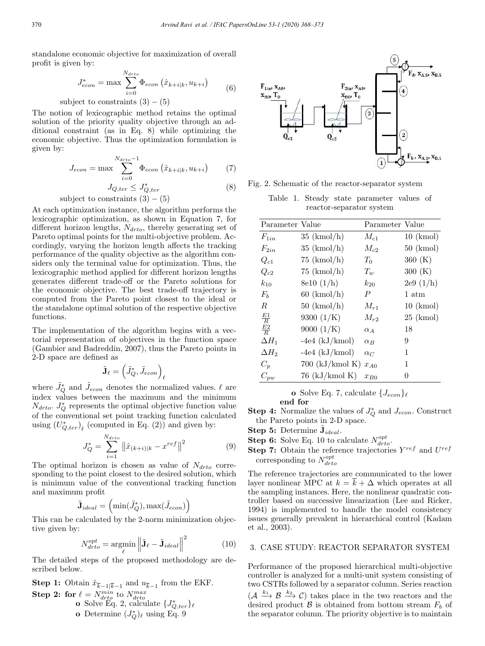standalone economic objective for maximization of overall profit is given by:

$$
J_{econ}^* = \max \sum_{i=0}^{N_{drto}} \Phi_{econ} \left(\hat{x}_{k+i|k}, u_{k+i}\right) \tag{6}
$$

subject to constraints  $(3) - (5)$ 

The notion of lexicographic method retains the optimal solution of the priority quality objective through an additional constraint (as in Eq. 8) while optimizing the economic objective. Thus the optimization formulation is given by:

$$
J_{econ} = \max \sum_{i=0}^{N_{drto}-1} \Phi_{econ} (\hat{x}_{k+i|k}, u_{k+i})
$$
 (7)

$$
J_{Q,ter} \le J_{Q,ter}^* \tag{8}
$$

subject to constraints  $(3) - (5)$ 

At each optimization instance, the algorithm performs the lexicographic optimization, as shown in Equation 7, for different horizon lengths,  $N_{drto}$ , thereby generating set of Pareto optimal points for the multi-objective problem. Accordingly, varying the horizon length affects the tracking performance of the quality objective as the algorithm considers only the terminal value for optimization. Thus, the lexicographic method applied for different horizon lengths generates different trade-off or the Pareto solutions for the economic objective. The best trade-off trajectory is computed from the Pareto point closest to the ideal or the standalone optimal solution of the respective objective functions.

The implementation of the algorithm begins with a vectorial representation of objectives in the function space (Gambier and Badreddin, 2007), thus the Pareto points in 2-D space are defined as

$$
\tilde{\mathbf{J}}_{\ell} = \left( \tilde{J}_Q^*, \tilde{J}_{econ} \right)_{\ell}
$$

where  $\tilde{J}_{Q}^{*}$  and  $\tilde{J}_{econ}$  denotes the normalized values.  $\ell$  are index values between the maximum and the minimum  $N_{drto}$ .  $J_Q^*$  represents the optimal objective function value of the conventional set point tracking function calculated using  $(U_{Q,ter}^*)_\ell$  (computed in Eq. (2)) and given by:

$$
J_{Q}^{*} = \sum_{i=1}^{N_{drto}} \left\| \hat{x}_{(k+i)|k} - x^{ref} \right\|^{2}
$$
 (9)

The optimal horizon is chosen as value of  $N<sub>drto</sub>$  corresponding to the point closest to the desired solution, which is minimum value of the conventional tracking function and maximum profit

$$
\tilde{\mathbf{J}}_{ideal} = (\min(\tilde{J}_{Q}^{*}), \max(\tilde{J}_{econ})
$$

This can be calculated by the 2-norm minimization objective given by:

$$
N_{drto}^{opt} = \operatorname*{argmin}_{\ell} \left\| \tilde{\mathbf{J}}_{\ell} - \tilde{\mathbf{J}}_{ideal} \right\|^2 \tag{10}
$$

The detailed steps of the proposed methodology are described below.

**Step 1:** Obtain  $\hat{x}_{\overline{k}-1|\overline{k}-1}$  and  $u_{\overline{k}-1}$  from the EKF. **Step 2: for**  $\ell = N_{drto}^{min}$  to  $N_{drto}^{max}$ <br> **o** Solve Eq. 2, calculate  $\{J_{Q,ter}^*\}_\ell$ **o** Determine  $(J_Q^*)_\ell$  using Eq. 9



Fig. 2. Schematic of the reactor-separator system

Table 1. Steady state parameter values of reactor-separator system

| Parameter Value |                         | Parameter Value |                |
|-----------------|-------------------------|-----------------|----------------|
| $F_{1in}$       | $35 \;$ (kmol/h)        | $M_{c1}$        | $10 \;$ (kmol) |
| $F_{2in}$       | $35 \; (\text{kmol/h})$ | $M_{c2}$        | $50 \;$ (kmol) |
| $Q_{c1}$        | $75 \;$ (kmol/h)        | $T_0$           | 360 (K)        |
| $Q_{c2}$        | $75 \;$ (kmol/h)        | $T_w$           | 300 (K)        |
| $k_{10}$        | 8e10 (1/h)              | $k_{20}$        | 2e9(1/h)       |
| $F_b$           | $60 \; (\text{kmol/h})$ | P               | 1 atm          |
| R.              | $50 \; (\text{kmol/h})$ | $M_{r1}$        | $10 \;$ (kmol) |
| $rac{E1}{R}$    | 9300 $(1/K)$            | $M_{r2}$        | $25 \;$ (kmol) |
| $rac{E2}{R}$    | 9000 $(1/K)$            | $\alpha_A$      | 18             |
| $\Delta H_1$    | $-4e4$ (kJ/kmol)        | $\alpha_B$      | 9              |
| $\Delta H_2$    | $-4e4$ (kJ/kmol)        | $\alpha_C$      | 1              |
| $C_p$           | $700$ (kJ/kmol K)       | $x_{A0}$        | 1              |
| $C_{pw}$        | $76$ (kJ/kmol K)        | $x_{B0}$        | 0              |

o Solve Eq. 7, calculate  $\{J_{econ}\}\ell$ 

end for

**Step 4:** Normalize the values of  $J^*_{Q}$  and  $J_{econ}$ . Construct the Pareto points in 2-D space.

Step 5: Determine  $\tilde{\mathbf{J}}_{ideal}$ .

- **Step 6:** Solve Eq. 10 to calculate  $N_{drto}^{opt}$ .
- **Step 7:** Obtain the reference trajectories  $Y^{ref}$  and  $U^{ref}$ corresponding to  $N_{drto}^{opt}$

The reference trajectories are communicated to the lower layer nonlinear MPC at  $k = \overline{k} + \Delta$  which operates at all the sampling instances. Here, the nonlinear quadratic controller based on successive linearization (Lee and Ricker, 1994) is implemented to handle the model consistency issues generally prevalent in hierarchical control (Kadam et al., 2003).

#### 3. CASE STUDY: REACTOR SEPARATOR SYSTEM

Performance of the proposed hierarchical multi-objective controller is analyzed for a multi-unit system consisting of two CSTRs followed by a separator column. Series reaction  $(A \xrightarrow{k_1} \mathcal{B} \xrightarrow{k_2} \mathcal{C})$  takes place in the two reactors and the desired product  $\beta$  is obtained from bottom stream  $F_b$  of the separator column. The priority objective is to maintain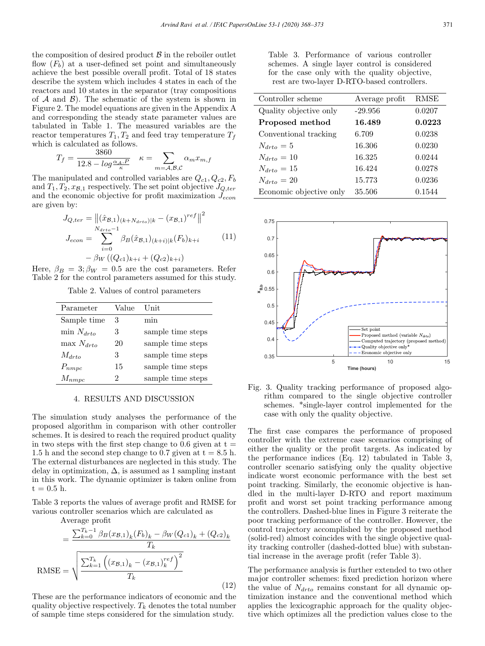the composition of desired product  $\beta$  in the reboiler outlet flow  $(F_b)$  at a user-defined set point and simultaneously achieve the best possible overall profit. Total of 18 states describe the system which includes 4 states in each of the reactors and 10 states in the separator (tray compositions of  $A$  and  $B$ ). The schematic of the system is shown in Figure 2. The model equations are given in the Appendix A and corresponding the steady state parameter values are tabulated in Table 1. The measured variables are the reactor temperatures  $T_1, T_2$  and feed tray temperature  $T_f$ which is calculated as follows.

$$
T_f = \frac{3860}{12.8 - \log \frac{\alpha_A P}{\kappa}} \quad \kappa = \sum_{m = \mathcal{A}, \mathcal{B}, \mathcal{C}} \alpha_m x_{m,f}
$$

The manipulated and controlled variables are  $Q_{c1}, Q_{c2}, F_b$ and  $T_1, T_2, x_{\mathcal{B},1}$  respectively. The set point objective  $J_{Q,ter}$ and the economic objective for profit maximization  $J_{econ}$ are given by:

$$
J_{Q,ter} = ||(\hat{x}_{B,1})(k + N_{drto})|k - (x_{B,1})^{ref}||^2
$$
  
\n
$$
J_{econ} = \sum_{i=0}^{N_{drto} - 1} \beta_B(\hat{x}_{B,1})(k+i)|k(F_b)_{k+i}
$$
 (11)  
\n
$$
- \beta_W((Q_{c1})_{k+i} + (Q_{c2})_{k+i})
$$

Here,  $\beta_B = 3$ ;  $\beta_W = 0.5$  are the cost parameters. Refer Table 2 for the control parameters assumed for this study.

Table 2. Values of control parameters

| Parameter       | Value | Unit              |
|-----------------|-------|-------------------|
| Sample time     | 3     | min               |
| $\min N_{drto}$ | 3     | sample time steps |
| $\max N_{drto}$ | 20    | sample time steps |
| $M_{drto}$      | 3     | sample time steps |
| $P_{nmpc}$      | 15    | sample time steps |
| $M_{nmpc}$      | 2     | sample time steps |

## 4. RESULTS AND DISCUSSION

The simulation study analyses the performance of the proposed algorithm in comparison with other controller schemes. It is desired to reach the required product quality in two steps with the first step change to 0.6 given at  $t =$ 1.5 h and the second step change to 0.7 given at  $t = 8.5$  h. The external disturbances are neglected in this study. The delay in optimization,  $\Delta$ , is assumed as 1 sampling instant in this work. The dynamic optimizer is taken online from  $t = 0.5$  h.

Table 3 reports the values of average profit and RMSE for various controller scenarios which are calculated as

Average profit

$$
= \frac{\sum_{k=0}^{T_k - 1} \beta_B(x_{\mathcal{B},1})_k (F_b)_k - \beta_W(Q_{c1})_k + (Q_{c2})_k}{T_k}
$$
  
RMSE = 
$$
\sqrt{\frac{\sum_{k=1}^{T_k} ((x_{\mathcal{B},1})_k - (x_{\mathcal{B},1})_k^{ref})^2}{T_k}}
$$
(12)

These are the performance indicators of economic and the quality objective respectively.  $T_k$  denotes the total number of sample time steps considered for the simulation study.

Table 3. Performance of various controller schemes. A single layer control is considered for the case only with the quality objective, rest are two-layer D-RTO-based controllers.

| Controller scheme       | Average profit | <b>RMSE</b> |
|-------------------------|----------------|-------------|
| Quality objective only  | $-29.956$      | 0.0207      |
| Proposed method         | 16.489         | 0.0223      |
| Conventional tracking   | 6.709          | 0.0238      |
| $N_{drto} = 5$          | 16.306         | 0.0230      |
| $N_{drto} = 10$         | 16.325         | 0.0244      |
| $N_{drto} = 15$         | 16.424         | 0.0278      |
| $N_{drto} = 20$         | 15.773         | 0.0236      |
| Economic objective only | 35.506         | 0.1544      |



Fig. 3. Quality tracking performance of proposed algorithm compared to the single objective controller schemes. \*single-layer control implemented for the case with only the quality objective.

The first case compares the performance of proposed controller with the extreme case scenarios comprising of either the quality or the profit targets. As indicated by the performance indices (Eq. 12) tabulated in Table 3, controller scenario satisfying only the quality objective indicate worst economic performance with the best set point tracking. Similarly, the economic objective is handled in the multi-layer D-RTO and report maximum profit and worst set point tracking performance among the controllers. Dashed-blue lines in Figure 3 reiterate the poor tracking performance of the controller. However, the control trajectory accomplished by the proposed method (solid-red) almost coincides with the single objective quality tracking controller (dashed-dotted blue) with substantial increase in the average profit (refer Table 3).

The performance analysis is further extended to two other major controller schemes: fixed prediction horizon where the value of  $N_{drto}$  remains constant for all dynamic optimization instance and the conventional method which applies the lexicographic approach for the quality objective which optimizes all the prediction values close to the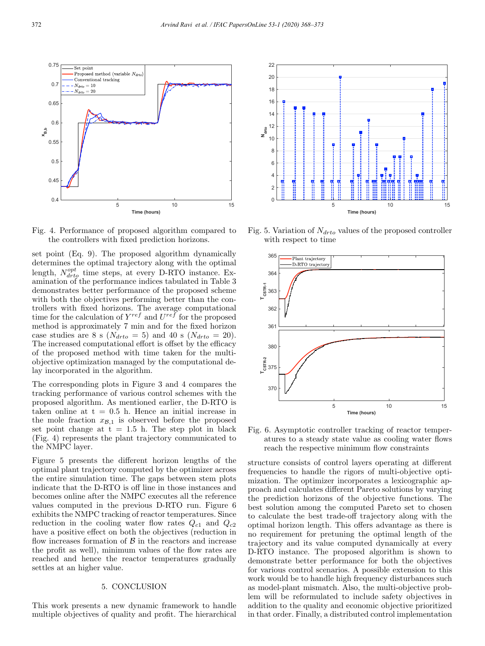

Fig. 4. Performance of proposed algorithm compared to the controllers with fixed prediction horizons.

set point (Eq. 9). The proposed algorithm dynamically determines the optimal trajectory along with the optimal length,  $N_{drto}^{opt}$  time steps, at every D-RTO instance. Examination of the performance indices tabulated in Table 3 demonstrates better performance of the proposed scheme with both the objectives performing better than the controllers with fixed horizons. The average computational time for the calculation of  $Y^{ref}$  and  $U^{ref}$  for the proposed method is approximately 7 min and for the fixed horizon case studies are 8 s ( $N_{drto} = 5$ ) and 40 s ( $N_{drto} = 20$ ). The increased computational effort is offset by the efficacy of the proposed method with time taken for the multiobjective optimization managed by the computational delay incorporated in the algorithm.

The corresponding plots in Figure 3 and 4 compares the tracking performance of various control schemes with the proposed algorithm. As mentioned earlier, the D-RTO is taken online at  $t = 0.5$  h. Hence an initial increase in the mole fraction  $x_{\mathcal{B},1}$  is observed before the proposed set point change at  $t = 1.5$  h. The step plot in black (Fig. 4) represents the plant trajectory communicated to the NMPC layer.

Figure 5 presents the different horizon lengths of the optimal plant trajectory computed by the optimizer across the entire simulation time. The gaps between stem plots indicate that the D-RTO is off line in those instances and becomes online after the NMPC executes all the reference values computed in the previous D-RTO run. Figure 6 exhibits the NMPC tracking of reactor temperatures. Since reduction in the cooling water flow rates  $Q_{c1}$  and  $Q_{c2}$ have a positive effect on both the objectives (reduction in flow increases formation of  $\beta$  in the reactors and increase the profit as well), minimum values of the flow rates are reached and hence the reactor temperatures gradually settles at an higher value.

## 5. CONCLUSION

This work presents a new dynamic framework to handle multiple objectives of quality and profit. The hierarchical



Fig. 5. Variation of  $N_{drto}$  values of the proposed controller with respect to time



Fig. 6. Asymptotic controller tracking of reactor temperatures to a steady state value as cooling water flows reach the respective minimum flow constraints

structure consists of control layers operating at different frequencies to handle the rigors of multi-objective optimization. The optimizer incorporates a lexicographic approach and calculates different Pareto solutions by varying the prediction horizons of the objective functions. The best solution among the computed Pareto set to chosen to calculate the best trade-off trajectory along with the optimal horizon length. This offers advantage as there is no requirement for pretuning the optimal length of the trajectory and its value computed dynamically at every D-RTO instance. The proposed algorithm is shown to demonstrate better performance for both the objectives for various control scenarios. A possible extension to this work would be to handle high frequency disturbances such as model-plant mismatch. Also, the multi-objective problem will be reformulated to include safety objectives in addition to the quality and economic objective prioritized in that order. Finally, a distributed control implementation

0.75

Set point

Proposed method (variable  $N_{data}$ )